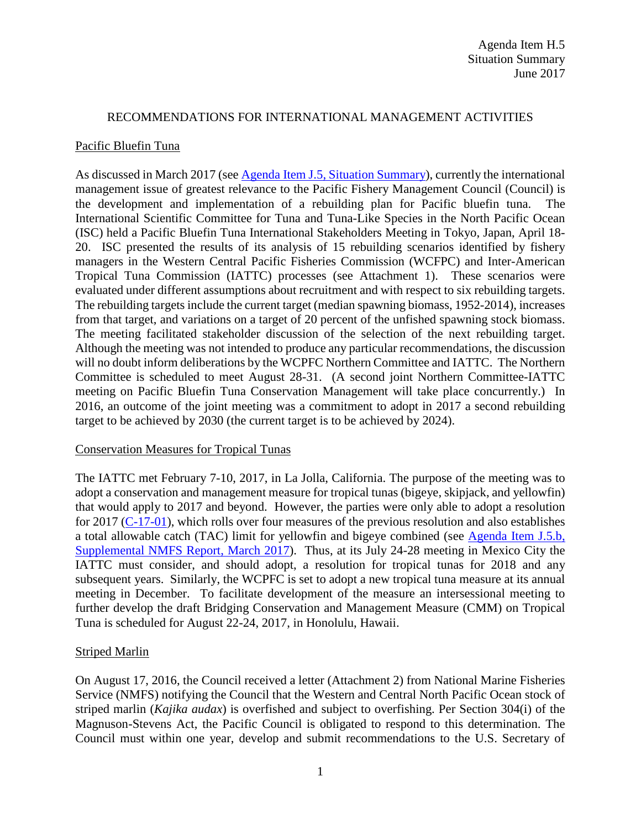#### RECOMMENDATIONS FOR INTERNATIONAL MANAGEMENT ACTIVITIES

#### Pacific Bluefin Tuna

As discussed in March 2017 (see [Agenda Item J.5, Situation Summary\)](http://www.pcouncil.org/wp-content/uploads/2017/02/J5__SitSum_Intl_Mar2017BB.pdf), currently the international management issue of greatest relevance to the Pacific Fishery Management Council (Council) is the development and implementation of a rebuilding plan for Pacific bluefin tuna. The International Scientific Committee for Tuna and Tuna-Like Species in the North Pacific Ocean (ISC) held a Pacific Bluefin Tuna International Stakeholders Meeting in Tokyo, Japan, April 18- 20. ISC presented the results of its analysis of 15 rebuilding scenarios identified by fishery managers in the Western Central Pacific Fisheries Commission (WCFPC) and Inter-American Tropical Tuna Commission (IATTC) processes (see Attachment 1). These scenarios were evaluated under different assumptions about recruitment and with respect to six rebuilding targets. The rebuilding targets include the current target (median spawning biomass, 1952-2014), increases from that target, and variations on a target of 20 percent of the unfished spawning stock biomass. The meeting facilitated stakeholder discussion of the selection of the next rebuilding target. Although the meeting was not intended to produce any particular recommendations, the discussion will no doubt inform deliberations by the WCPFC Northern Committee and IATTC. The Northern Committee is scheduled to meet August 28-31. (A second joint Northern Committee-IATTC meeting on Pacific Bluefin Tuna Conservation Management will take place concurrently.) In 2016, an outcome of the joint meeting was a commitment to adopt in 2017 a second rebuilding target to be achieved by 2030 (the current target is to be achieved by 2024).

# Conservation Measures for Tropical Tunas

The IATTC met February 7-10, 2017, in La Jolla, California. The purpose of the meeting was to adopt a conservation and management measure for tropical tunas (bigeye, skipjack, and yellowfin) that would apply to 2017 and beyond. However, the parties were only able to adopt a resolution for 2017 [\(C-17-01\)](http://www.iattc.org/PDFFiles2/Resolutions/C-17-01-Tuna-conservation-2017.pdf), which rolls over four measures of the previous resolution and also establishes a total allowable catch (TAC) limit for yellowfin and bigeye combined (see [Agenda Item J.5.b,](http://www.pcouncil.org/wp-content/uploads/2017/03/J5b_Sup_NMFS_Rpt_Intl.pdf)  [Supplemental NMFS Report, March 2017\)](http://www.pcouncil.org/wp-content/uploads/2017/03/J5b_Sup_NMFS_Rpt_Intl.pdf). Thus, at its July 24-28 meeting in Mexico City the IATTC must consider, and should adopt, a resolution for tropical tunas for 2018 and any subsequent years. Similarly, the WCPFC is set to adopt a new tropical tuna measure at its annual meeting in December. To facilitate development of the measure an intersessional meeting to further develop the draft Bridging Conservation and Management Measure (CMM) on Tropical Tuna is scheduled for August 22-24, 2017, in Honolulu, Hawaii.

# Striped Marlin

On August 17, 2016, the Council received a letter (Attachment 2) from National Marine Fisheries Service (NMFS) notifying the Council that the Western and Central North Pacific Ocean stock of striped marlin (*Kajika audax*) is overfished and subject to overfishing. Per Section 304(i) of the Magnuson-Stevens Act, the Pacific Council is obligated to respond to this determination. The Council must within one year, develop and submit recommendations to the U.S. Secretary of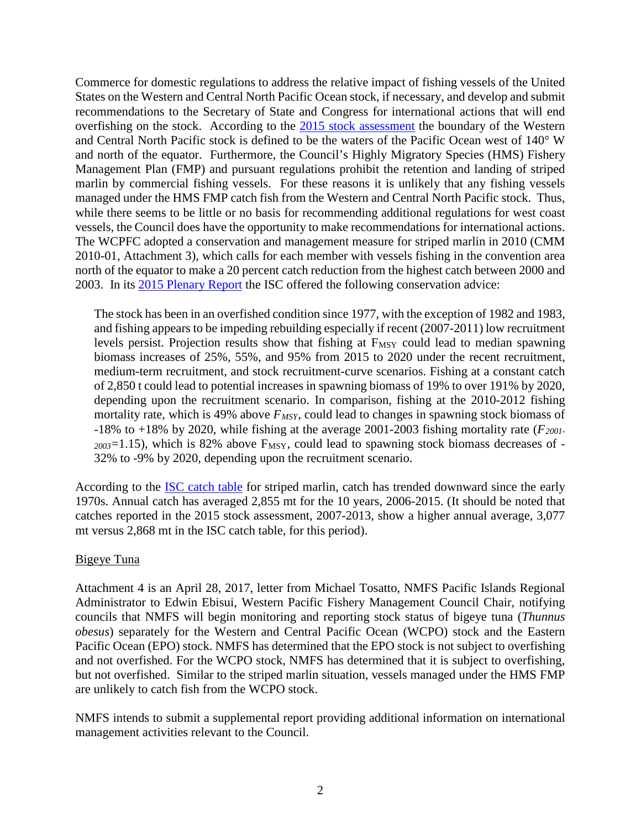Commerce for domestic regulations to address the relative impact of fishing vessels of the United States on the Western and Central North Pacific Ocean stock, if necessary, and develop and submit recommendations to the Secretary of State and Congress for international actions that will end overfishing on the stock. According to the [2015 stock assessment](http://isc.fra.go.jp/pdf/ISC15/Annex%2011_WCNPO_STM_ASSESSMENT_REPORT_2015_10Aug15.pdf) the boundary of the Western and Central North Pacific stock is defined to be the waters of the Pacific Ocean west of 140° W and north of the equator. Furthermore, the Council's Highly Migratory Species (HMS) Fishery Management Plan (FMP) and pursuant regulations prohibit the retention and landing of striped marlin by commercial fishing vessels. For these reasons it is unlikely that any fishing vessels managed under the HMS FMP catch fish from the Western and Central North Pacific stock. Thus, while there seems to be little or no basis for recommending additional regulations for west coast vessels, the Council does have the opportunity to make recommendations for international actions. The WCPFC adopted a conservation and management measure for striped marlin in 2010 (CMM 2010-01, Attachment 3), which calls for each member with vessels fishing in the convention area north of the equator to make a 20 percent catch reduction from the highest catch between 2000 and 2003. In its [2015 Plenary Report](http://isc.fra.go.jp/pdf/ISC15/ISC15_Report_1Sept15.pdf) the ISC offered the following conservation advice:

The stock has been in an overfished condition since 1977, with the exception of 1982 and 1983, and fishing appears to be impeding rebuilding especially if recent (2007-2011) low recruitment levels persist. Projection results show that fishing at  $F_{MSY}$  could lead to median spawning biomass increases of 25%, 55%, and 95% from 2015 to 2020 under the recent recruitment, medium-term recruitment, and stock recruitment-curve scenarios. Fishing at a constant catch of 2,850 t could lead to potential increases in spawning biomass of 19% to over 191% by 2020, depending upon the recruitment scenario. In comparison, fishing at the 2010-2012 fishing mortality rate, which is 49% above  $F_{MSY}$ , could lead to changes in spawning stock biomass of  $-18\%$  to  $+18\%$  by 2020, while fishing at the average 2001-2003 fishing mortality rate ( $F_{2001}$ - $_{2003}$ =1.15), which is 82% above  $F_{\text{MSY}}$ , could lead to spawning stock biomass decreases of -32% to -9% by 2020, depending upon the recruitment scenario.

According to the [ISC catch table](http://isc.fra.go.jp/fisheries_statistics/index.html) for striped marlin, catch has trended downward since the early 1970s. Annual catch has averaged 2,855 mt for the 10 years, 2006-2015. (It should be noted that catches reported in the 2015 stock assessment, 2007-2013, show a higher annual average, 3,077 mt versus 2,868 mt in the ISC catch table, for this period).

# Bigeye Tuna

Attachment 4 is an April 28, 2017, letter from Michael Tosatto, NMFS Pacific Islands Regional Administrator to Edwin Ebisui, Western Pacific Fishery Management Council Chair, notifying councils that NMFS will begin monitoring and reporting stock status of bigeye tuna (*Thunnus obesus*) separately for the Western and Central Pacific Ocean (WCPO) stock and the Eastern Pacific Ocean (EPO) stock. NMFS has determined that the EPO stock is not subject to overfishing and not overfished. For the WCPO stock, NMFS has determined that it is subject to overfishing, but not overfished. Similar to the striped marlin situation, vessels managed under the HMS FMP are unlikely to catch fish from the WCPO stock.

NMFS intends to submit a supplemental report providing additional information on international management activities relevant to the Council.